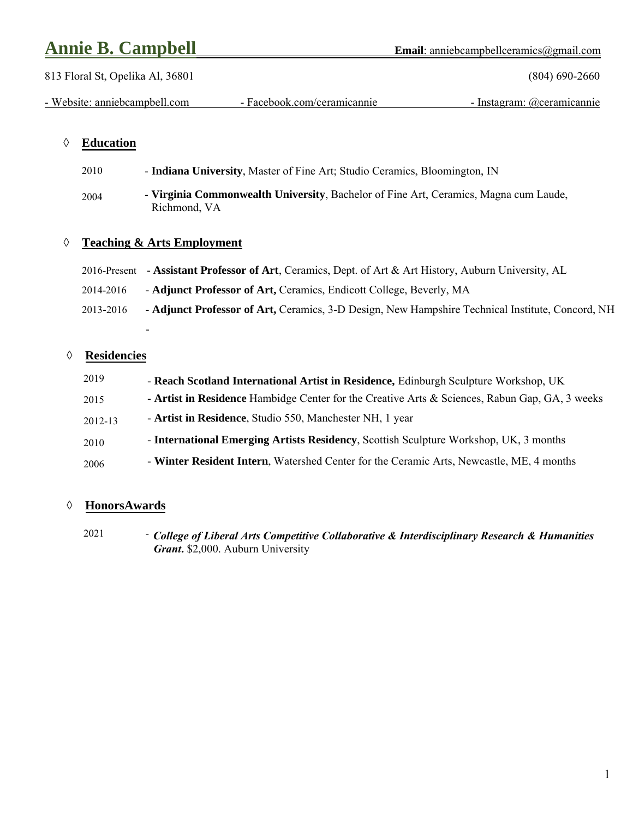# **Annie B. Campbell Email**: anniebcampbellceramics@gmail.com

 813 Floral St, Opelika Al, 36801 (804) 690-2660 - Website: anniebcampbell.com - Facebook.com/ceramicannie - Instagram: @ceramicannie

## **Education**

2010 - **Indiana University**, Master of Fine Art; Studio Ceramics, Bloomington, IN

2004 - **Virginia Commonwealth University**, Bachelor of Fine Art, Ceramics, Magna cum Laude, Richmond, VA

## **Teaching & Arts Employment**

-

|           | 2016-Present - Assistant Professor of Art, Ceramics, Dept. of Art & Art History, Auburn University, AL |
|-----------|--------------------------------------------------------------------------------------------------------|
| 2014-2016 | - Adjunct Professor of Art, Ceramics, Endicott College, Beverly, MA                                    |
| 2013-2016 | - Adjunct Professor of Art, Ceramics, 3-D Design, New Hampshire Technical Institute, Concord, NH       |

### **Residencies**

| 2019    | - Reach Scotland International Artist in Residence, Edinburgh Sculpture Workshop, UK           |
|---------|------------------------------------------------------------------------------------------------|
| 2015    | - Artist in Residence Hambidge Center for the Creative Arts & Sciences, Rabun Gap, GA, 3 weeks |
| 2012-13 | - Artist in Residence, Studio 550, Manchester NH, 1 year                                       |
| 2010    | - International Emerging Artists Residency, Scottish Sculpture Workshop, UK, 3 months          |
| 2006    | - Winter Resident Intern, Watershed Center for the Ceramic Arts, Newcastle, ME, 4 months       |

## **HonorsAwards**

2021 - *College of Liberal Arts Competitive Collaborative & Interdisciplinary Research & Humanities Grant***.** \$2,000. Auburn University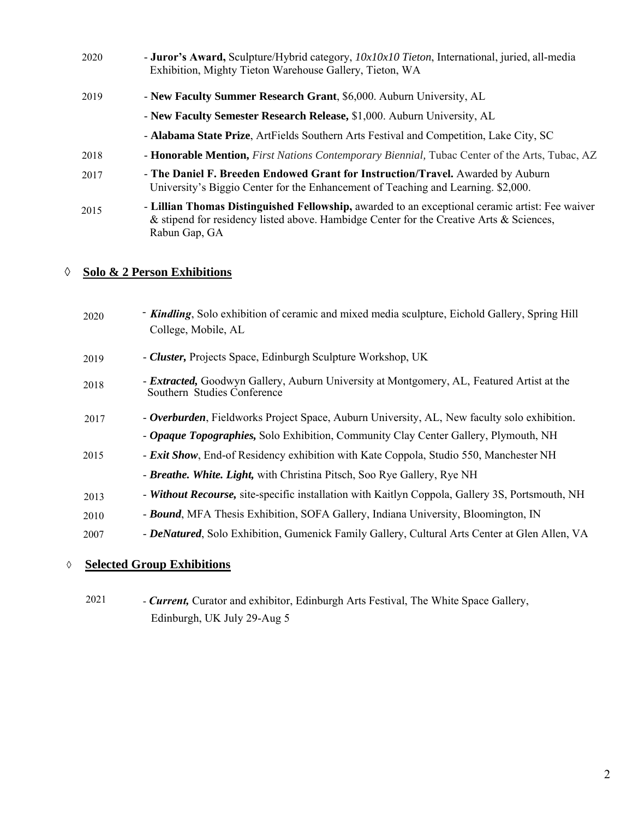| 2020 | - Juror's Award, Sculpture/Hybrid category, 10x10x10 Tieton, International, juried, all-media<br>Exhibition, Mighty Tieton Warehouse Gallery, Tieton, WA                                                    |
|------|-------------------------------------------------------------------------------------------------------------------------------------------------------------------------------------------------------------|
| 2019 | - New Faculty Summer Research Grant, \$6,000. Auburn University, AL                                                                                                                                         |
|      | - New Faculty Semester Research Release, \$1,000. Auburn University, AL                                                                                                                                     |
|      | - Alabama State Prize, ArtFields Southern Arts Festival and Competition, Lake City, SC                                                                                                                      |
| 2018 | - Honorable Mention, First Nations Contemporary Biennial, Tubac Center of the Arts, Tubac, AZ                                                                                                               |
| 2017 | - The Daniel F. Breeden Endowed Grant for Instruction/Travel. Awarded by Auburn<br>University's Biggio Center for the Enhancement of Teaching and Learning. \$2,000.                                        |
| 2015 | - Lillian Thomas Distinguished Fellowship, awarded to an exceptional ceramic artist: Fee waiver<br>& stipend for residency listed above. Hambidge Center for the Creative Arts & Sciences,<br>Rabun Gap, GA |

#### Ī **Solo & 2 Person Exhibitions**

| 2020 | - <b>Kindling</b> , Solo exhibition of ceramic and mixed media sculpture, Eichold Gallery, Spring Hill<br>College, Mobile, AL   |
|------|---------------------------------------------------------------------------------------------------------------------------------|
| 2019 | - Cluster, Projects Space, Edinburgh Sculpture Workshop, UK                                                                     |
| 2018 | - <b>Extracted,</b> Goodwyn Gallery, Auburn University at Montgomery, AL, Featured Artist at the<br>Southern Studies Conference |
| 2017 | - <b>Overburden</b> , Fieldworks Project Space, Auburn University, AL, New faculty solo exhibition.                             |
|      | - Opaque Topographies, Solo Exhibition, Community Clay Center Gallery, Plymouth, NH                                             |
| 2015 | - Exit Show, End-of Residency exhibition with Kate Coppola, Studio 550, Manchester NH                                           |
|      | - Breathe. White. Light, with Christina Pitsch, Soo Rye Gallery, Rye NH                                                         |
| 2013 | - Without Recourse, site-specific installation with Kaitlyn Coppola, Gallery 3S, Portsmouth, NH                                 |
| 2010 | - <b>Bound</b> , MFA Thesis Exhibition, SOFA Gallery, Indiana University, Bloomington, IN                                       |
| 2007 | - DeNatured, Solo Exhibition, Gumenick Family Gallery, Cultural Arts Center at Glen Allen, VA                                   |
|      |                                                                                                                                 |

## **Selected Group Exhibitions**

 2021 - *Current,* Curator and exhibitor, Edinburgh Arts Festival, The White Space Gallery, Edinburgh, UK July 29-Aug 5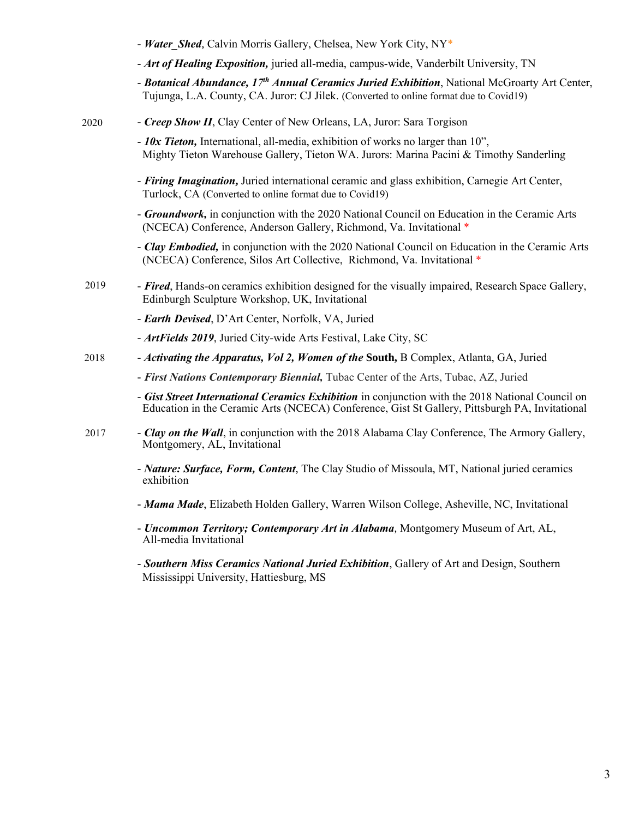|      | - Water Shed, Calvin Morris Gallery, Chelsea, New York City, NY*                                                                                                                                    |
|------|-----------------------------------------------------------------------------------------------------------------------------------------------------------------------------------------------------|
|      | - Art of Healing Exposition, juried all-media, campus-wide, Vanderbilt University, TN                                                                                                               |
|      | - Botanical Abundance, 17 <sup>th</sup> Annual Ceramics Juried Exhibition, National McGroarty Art Center,<br>Tujunga, L.A. County, CA. Juror: CJ Jilek. (Converted to online format due to Covid19) |
| 2020 | - Creep Show II, Clay Center of New Orleans, LA, Juror: Sara Torgison                                                                                                                               |
|      | - 10x Tieton, International, all-media, exhibition of works no larger than 10",<br>Mighty Tieton Warehouse Gallery, Tieton WA. Jurors: Marina Pacini & Timothy Sanderling                           |
|      | - Firing Imagination, Juried international ceramic and glass exhibition, Carnegie Art Center,<br>Turlock, CA (Converted to online format due to Covid19)                                            |
|      | - Groundwork, in conjunction with the 2020 National Council on Education in the Ceramic Arts<br>(NCECA) Conference, Anderson Gallery, Richmond, Va. Invitational *                                  |
|      | - Clay Embodied, in conjunction with the 2020 National Council on Education in the Ceramic Arts<br>(NCECA) Conference, Silos Art Collective, Richmond, Va. Invitational *                           |
| 2019 | - <b>Fired</b> , Hands-on ceramics exhibition designed for the visually impaired, Research Space Gallery,<br>Edinburgh Sculpture Workshop, UK, Invitational                                         |
|      | - Earth Devised, D'Art Center, Norfolk, VA, Juried                                                                                                                                                  |
|      | - ArtFields 2019, Juried City-wide Arts Festival, Lake City, SC                                                                                                                                     |
| 2018 | - Activating the Apparatus, Vol 2, Women of the South, B Complex, Atlanta, GA, Juried                                                                                                               |
|      | - First Nations Contemporary Biennial, Tubac Center of the Arts, Tubac, AZ, Juried                                                                                                                  |
|      | - Gist Street International Ceramics Exhibition in conjunction with the 2018 National Council on<br>Education in the Ceramic Arts (NCECA) Conference, Gist St Gallery, Pittsburgh PA, Invitational  |
| 2017 | - Clay on the Wall, in conjunction with the 2018 Alabama Clay Conference, The Armory Gallery,<br>Montgomery, AL, Invitational                                                                       |
|      | - Nature: Surface, Form, Content, The Clay Studio of Missoula, MT, National juried ceramics<br>exhibition                                                                                           |
|      | - Mama Made, Elizabeth Holden Gallery, Warren Wilson College, Asheville, NC, Invitational                                                                                                           |
|      | - Uncommon Territory; Contemporary Art in Alabama, Montgomery Museum of Art, AL,<br>All-media Invitational                                                                                          |

*- Southern Miss Ceramics National Juried Exhibition*, Gallery of Art and Design, Southern Mississippi University, Hattiesburg, MS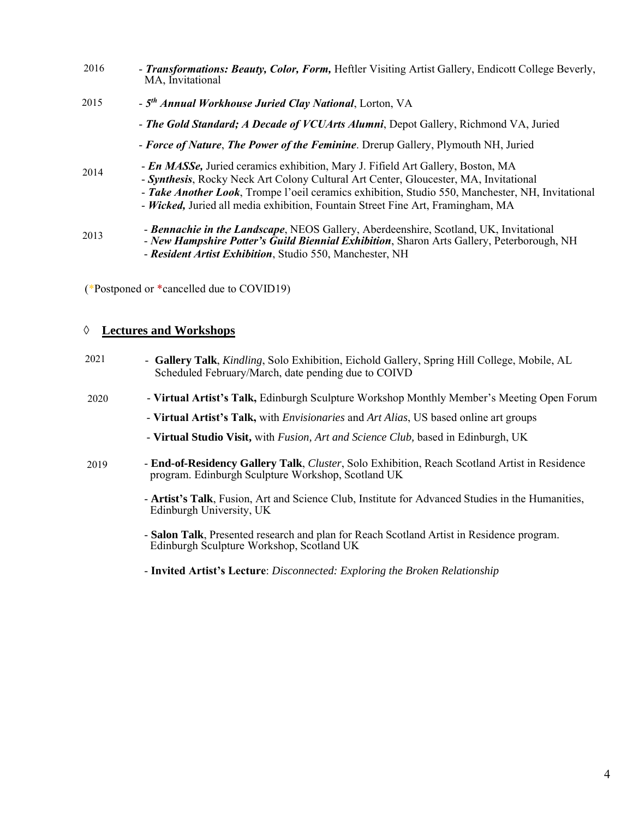| 2016 | - Transformations: Beauty, Color, Form, Heftler Visiting Artist Gallery, Endicott College Beverly,<br>MA, Invitational                                                                                                                                                                                                                                                 |
|------|------------------------------------------------------------------------------------------------------------------------------------------------------------------------------------------------------------------------------------------------------------------------------------------------------------------------------------------------------------------------|
| 2015 | - 5 <sup>th</sup> Annual Workhouse Juried Clay National, Lorton, VA                                                                                                                                                                                                                                                                                                    |
|      | - The Gold Standard; A Decade of VCUArts Alumni, Depot Gallery, Richmond VA, Juried                                                                                                                                                                                                                                                                                    |
|      | - Force of Nature, The Power of the Feminine. Drerup Gallery, Plymouth NH, Juried                                                                                                                                                                                                                                                                                      |
| 2014 | - <i>En MASSe</i> , Juried ceramics exhibition, Mary J. Fifield Art Gallery, Boston, MA<br>- Synthesis, Rocky Neck Art Colony Cultural Art Center, Gloucester, MA, Invitational<br>- Take Another Look, Trompe l'oeil ceramics exhibition, Studio 550, Manchester, NH, Invitational<br>- Wicked, Juried all media exhibition, Fountain Street Fine Art, Framingham, MA |
| 2013 | - Bennachie in the Landscape, NEOS Gallery, Aberdeenshire, Scotland, UK, Invitational<br>- New Hampshire Potter's Guild Biennial Exhibition, Sharon Arts Gallery, Peterborough, NH<br>- Resident Artist Exhibition, Studio 550, Manchester, NH                                                                                                                         |

(\*Postponed or \*cancelled due to COVID19)

## **Lectures and Workshops**

| 2021 | - Gallery Talk, Kindling, Solo Exhibition, Eichold Gallery, Spring Hill College, Mobile, AL<br>Scheduled February/March, date pending due to COIVD         |
|------|------------------------------------------------------------------------------------------------------------------------------------------------------------|
| 2020 | - Virtual Artist's Talk, Edinburgh Sculpture Workshop Monthly Member's Meeting Open Forum                                                                  |
|      | - Virtual Artist's Talk, with <i>Envisionaries</i> and <i>Art Alias</i> , US based online art groups                                                       |
|      | - Virtual Studio Visit, with <i>Fusion, Art and Science Club</i> , based in Edinburgh, UK                                                                  |
| 2019 | <b>- End-of-Residency Gallery Talk, Cluster, Solo Exhibition, Reach Scotland Artist in Residence</b><br>program. Edinburgh Sculpture Workshop, Scotland UK |
|      | - Artist's Talk, Fusion, Art and Science Club, Institute for Advanced Studies in the Humanities,<br>Edinburgh University, UK                               |
|      | - Salon Talk, Presented research and plan for Reach Scotland Artist in Residence program.<br>Edinburgh Sculpture Workshop, Scotland UK                     |
|      |                                                                                                                                                            |

- **Invited Artist's Lecture**: *Disconnected: Exploring the Broken Relationship*